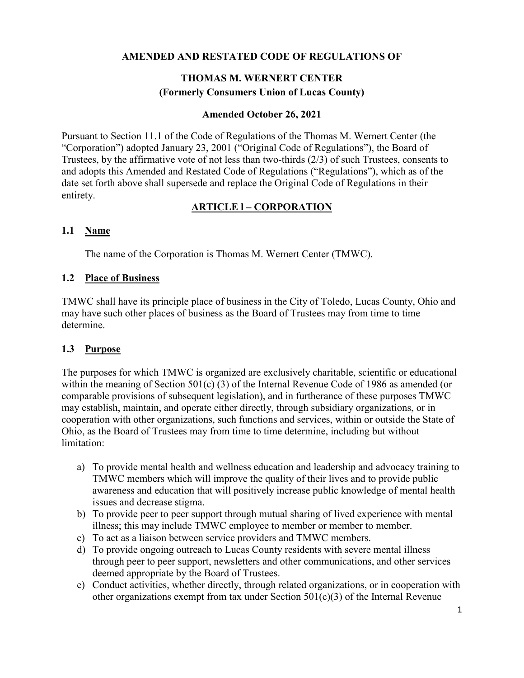### **AMENDED AND RESTATED CODE OF REGULATIONS OF**

# **THOMAS M. WERNERT CENTER (Formerly Consumers Union of Lucas County)**

#### **Amended October 26, 2021**

Pursuant to Section 11.1 of the Code of Regulations of the Thomas M. Wernert Center (the "Corporation") adopted January 23, 2001 ("Original Code of Regulations"), the Board of Trustees, by the affirmative vote of not less than two-thirds (2/3) of such Trustees, consents to and adopts this Amended and Restated Code of Regulations ("Regulations"), which as of the date set forth above shall supersede and replace the Original Code of Regulations in their entirety.

### **ARTICLE l – CORPORATION**

### **1.1 Name**

The name of the Corporation is Thomas M. Wernert Center (TMWC).

#### **1.2 Place of Business**

TMWC shall have its principle place of business in the City of Toledo, Lucas County, Ohio and may have such other places of business as the Board of Trustees may from time to time determine.

### **1.3 Purpose**

The purposes for which TMWC is organized are exclusively charitable, scientific or educational within the meaning of Section 501(c) (3) of the Internal Revenue Code of 1986 as amended (or comparable provisions of subsequent legislation), and in furtherance of these purposes TMWC may establish, maintain, and operate either directly, through subsidiary organizations, or in cooperation with other organizations, such functions and services, within or outside the State of Ohio, as the Board of Trustees may from time to time determine, including but without limitation:

- a) To provide mental health and wellness education and leadership and advocacy training to TMWC members which will improve the quality of their lives and to provide public awareness and education that will positively increase public knowledge of mental health issues and decrease stigma.
- b) To provide peer to peer support through mutual sharing of lived experience with mental illness; this may include TMWC employee to member or member to member.
- c) To act as a liaison between service providers and TMWC members.
- d) To provide ongoing outreach to Lucas County residents with severe mental illness through peer to peer support, newsletters and other communications, and other services deemed appropriate by the Board of Trustees.
- e) Conduct activities, whether directly, through related organizations, or in cooperation with other organizations exempt from tax under Section  $501(c)(3)$  of the Internal Revenue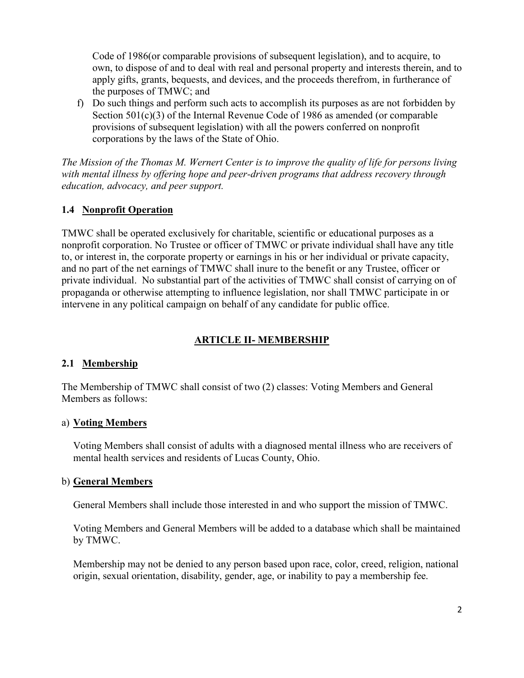Code of 1986(or comparable provisions of subsequent legislation), and to acquire, to own, to dispose of and to deal with real and personal property and interests therein, and to apply gifts, grants, bequests, and devices, and the proceeds therefrom, in furtherance of the purposes of TMWC; and

f) Do such things and perform such acts to accomplish its purposes as are not forbidden by Section 501(c)(3) of the Internal Revenue Code of 1986 as amended (or comparable provisions of subsequent legislation) with all the powers conferred on nonprofit corporations by the laws of the State of Ohio.

*The Mission of the Thomas M. Wernert Center is to improve the quality of life for persons living with mental illness by offering hope and peer-driven programs that address recovery through education, advocacy, and peer support.*

### **1.4 Nonprofit Operation**

TMWC shall be operated exclusively for charitable, scientific or educational purposes as a nonprofit corporation. No Trustee or officer of TMWC or private individual shall have any title to, or interest in, the corporate property or earnings in his or her individual or private capacity, and no part of the net earnings of TMWC shall inure to the benefit or any Trustee, officer or private individual. No substantial part of the activities of TMWC shall consist of carrying on of propaganda or otherwise attempting to influence legislation, nor shall TMWC participate in or intervene in any political campaign on behalf of any candidate for public office.

### **ARTICLE II- MEMBERSHIP**

### **2.1 Membership**

The Membership of TMWC shall consist of two (2) classes: Voting Members and General Members as follows:

#### a) **Voting Members**

Voting Members shall consist of adults with a diagnosed mental illness who are receivers of mental health services and residents of Lucas County, Ohio.

#### b) **General Members**

General Members shall include those interested in and who support the mission of TMWC.

Voting Members and General Members will be added to a database which shall be maintained by TMWC.

Membership may not be denied to any person based upon race, color, creed, religion, national origin, sexual orientation, disability, gender, age, or inability to pay a membership fee.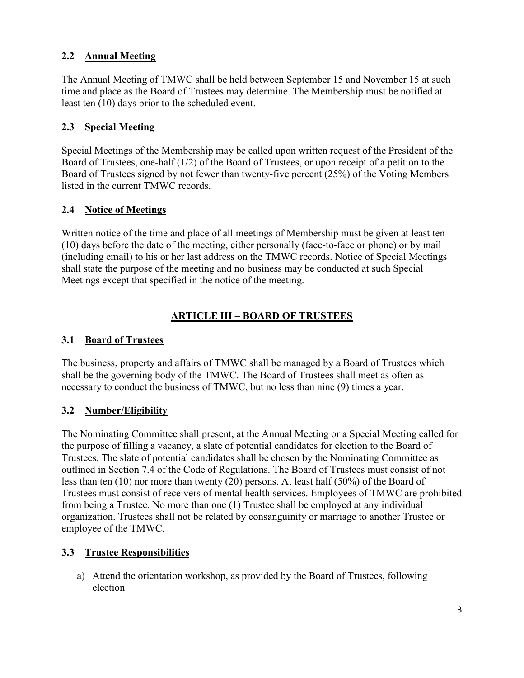# **2.2 Annual Meeting**

The Annual Meeting of TMWC shall be held between September 15 and November 15 at such time and place as the Board of Trustees may determine. The Membership must be notified at least ten (10) days prior to the scheduled event.

### **2.3 Special Meeting**

Special Meetings of the Membership may be called upon written request of the President of the Board of Trustees, one-half (1/2) of the Board of Trustees, or upon receipt of a petition to the Board of Trustees signed by not fewer than twenty-five percent (25%) of the Voting Members listed in the current TMWC records.

### **2.4 Notice of Meetings**

Written notice of the time and place of all meetings of Membership must be given at least ten (10) days before the date of the meeting, either personally (face-to-face or phone) or by mail (including email) to his or her last address on the TMWC records. Notice of Special Meetings shall state the purpose of the meeting and no business may be conducted at such Special Meetings except that specified in the notice of the meeting.

## **ARTICLE III – BOARD OF TRUSTEES**

### **3.1 Board of Trustees**

The business, property and affairs of TMWC shall be managed by a Board of Trustees which shall be the governing body of the TMWC. The Board of Trustees shall meet as often as necessary to conduct the business of TMWC, but no less than nine (9) times a year.

### **3.2 Number/Eligibility**

The Nominating Committee shall present, at the Annual Meeting or a Special Meeting called for the purpose of filling a vacancy, a slate of potential candidates for election to the Board of Trustees. The slate of potential candidates shall be chosen by the Nominating Committee as outlined in Section 7.4 of the Code of Regulations. The Board of Trustees must consist of not less than ten (10) nor more than twenty (20) persons. At least half (50%) of the Board of Trustees must consist of receivers of mental health services. Employees of TMWC are prohibited from being a Trustee. No more than one (1) Trustee shall be employed at any individual organization. Trustees shall not be related by consanguinity or marriage to another Trustee or employee of the TMWC.

### **3.3 Trustee Responsibilities**

a) Attend the orientation workshop, as provided by the Board of Trustees, following election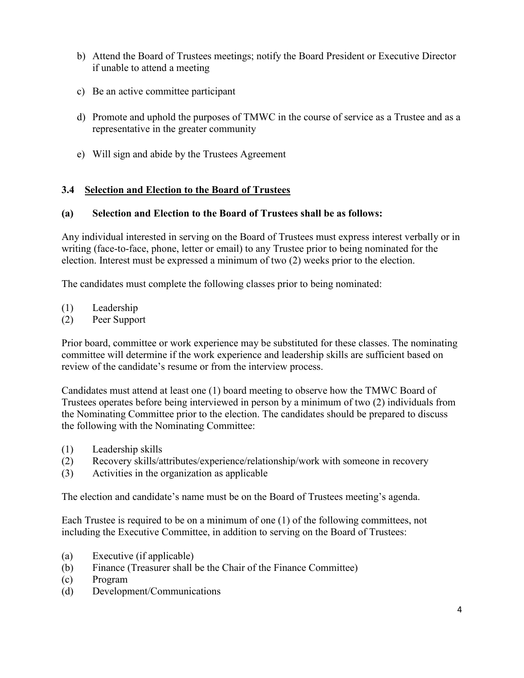- b) Attend the Board of Trustees meetings; notify the Board President or Executive Director if unable to attend a meeting
- c) Be an active committee participant
- d) Promote and uphold the purposes of TMWC in the course of service as a Trustee and as a representative in the greater community
- e) Will sign and abide by the Trustees Agreement

### **3.4 Selection and Election to the Board of Trustees**

#### **(a) Selection and Election to the Board of Trustees shall be as follows:**

Any individual interested in serving on the Board of Trustees must express interest verbally or in writing (face-to-face, phone, letter or email) to any Trustee prior to being nominated for the election. Interest must be expressed a minimum of two (2) weeks prior to the election.

The candidates must complete the following classes prior to being nominated:

- (1) Leadership
- (2) Peer Support

Prior board, committee or work experience may be substituted for these classes. The nominating committee will determine if the work experience and leadership skills are sufficient based on review of the candidate's resume or from the interview process.

Candidates must attend at least one (1) board meeting to observe how the TMWC Board of Trustees operates before being interviewed in person by a minimum of two (2) individuals from the Nominating Committee prior to the election. The candidates should be prepared to discuss the following with the Nominating Committee:

- (1) Leadership skills
- (2) Recovery skills/attributes/experience/relationship/work with someone in recovery
- (3) Activities in the organization as applicable

The election and candidate's name must be on the Board of Trustees meeting's agenda.

Each Trustee is required to be on a minimum of one (1) of the following committees, not including the Executive Committee, in addition to serving on the Board of Trustees:

- (a) Executive (if applicable)
- (b) Finance (Treasurer shall be the Chair of the Finance Committee)
- (c) Program
- (d) Development/Communications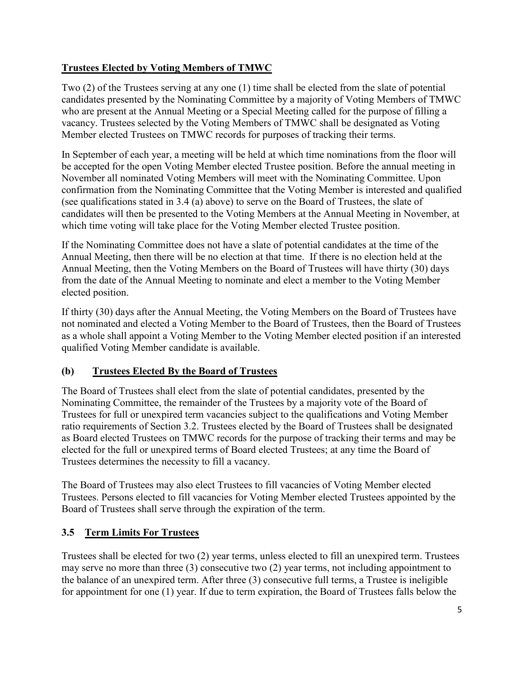## **Trustees Elected by Voting Members of TMWC**

Two (2) of the Trustees serving at any one (1) time shall be elected from the slate of potential candidates presented by the Nominating Committee by a majority of Voting Members of TMWC who are present at the Annual Meeting or a Special Meeting called for the purpose of filling a vacancy. Trustees selected by the Voting Members of TMWC shall be designated as Voting Member elected Trustees on TMWC records for purposes of tracking their terms.

In September of each year, a meeting will be held at which time nominations from the floor will be accepted for the open Voting Member elected Trustee position. Before the annual meeting in November all nominated Voting Members will meet with the Nominating Committee. Upon confirmation from the Nominating Committee that the Voting Member is interested and qualified (see qualifications stated in 3.4 (a) above) to serve on the Board of Trustees, the slate of candidates will then be presented to the Voting Members at the Annual Meeting in November, at which time voting will take place for the Voting Member elected Trustee position.

If the Nominating Committee does not have a slate of potential candidates at the time of the Annual Meeting, then there will be no election at that time. If there is no election held at the Annual Meeting, then the Voting Members on the Board of Trustees will have thirty (30) days from the date of the Annual Meeting to nominate and elect a member to the Voting Member elected position.

If thirty (30) days after the Annual Meeting, the Voting Members on the Board of Trustees have not nominated and elected a Voting Member to the Board of Trustees, then the Board of Trustees as a whole shall appoint a Voting Member to the Voting Member elected position if an interested qualified Voting Member candidate is available.

## **(b) Trustees Elected By the Board of Trustees**

The Board of Trustees shall elect from the slate of potential candidates, presented by the Nominating Committee, the remainder of the Trustees by a majority vote of the Board of Trustees for full or unexpired term vacancies subject to the qualifications and Voting Member ratio requirements of Section 3.2. Trustees elected by the Board of Trustees shall be designated as Board elected Trustees on TMWC records for the purpose of tracking their terms and may be elected for the full or unexpired terms of Board elected Trustees; at any time the Board of Trustees determines the necessity to fill a vacancy.

The Board of Trustees may also elect Trustees to fill vacancies of Voting Member elected Trustees. Persons elected to fill vacancies for Voting Member elected Trustees appointed by the Board of Trustees shall serve through the expiration of the term.

# **3.5 Term Limits For Trustees**

Trustees shall be elected for two (2) year terms, unless elected to fill an unexpired term. Trustees may serve no more than three (3) consecutive two (2) year terms, not including appointment to the balance of an unexpired term. After three (3) consecutive full terms, a Trustee is ineligible for appointment for one (1) year. If due to term expiration, the Board of Trustees falls below the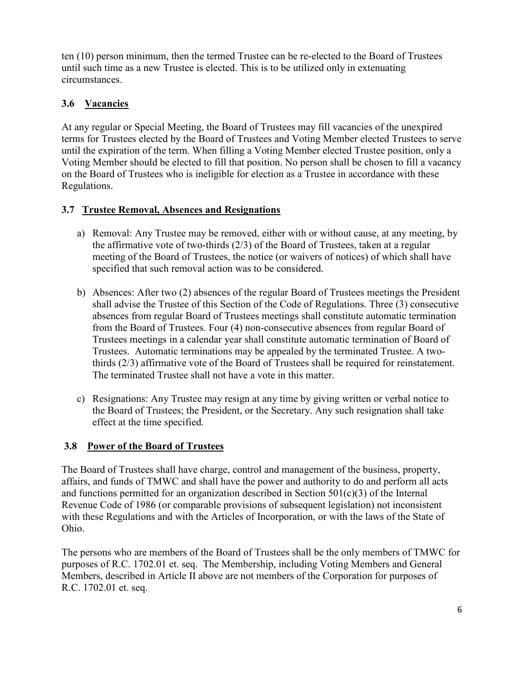ten (10) person minimum, then the termed Trustee can be re-elected to the Board of Trustees until such time as a new Trustee is elected. This is to be utilized only in extenuating circumstances.

# **3.6 Vacancies**

At any regular or Special Meeting, the Board of Trustees may fill vacancies of the unexpired terms for Trustees elected by the Board of Trustees and Voting Member elected Trustees to serve until the expiration of the term. When filling a Voting Member elected Trustee position, only a Voting Member should be elected to fill that position. No person shall be chosen to fill a vacancy on the Board of Trustees who is ineligible for election as a Trustee in accordance with these Regulations.

## **3.7 Trustee Removal, Absences and Resignations**

- a) Removal: Any Trustee may be removed, either with or without cause, at any meeting, by the affirmative vote of two-thirds (2/3) of the Board of Trustees, taken at a regular meeting of the Board of Trustees, the notice (or waivers of notices) of which shall have specified that such removal action was to be considered.
- b) Absences: After two (2) absences of the regular Board of Trustees meetings the President shall advise the Trustee of this Section of the Code of Regulations. Three (3) consecutive absences from regular Board of Trustees meetings shall constitute automatic termination from the Board of Trustees. Four (4) non-consecutive absences from regular Board of Trustees meetings in a calendar year shall constitute automatic termination of Board of Trustees. Automatic terminations may be appealed by the terminated Trustee. A twothirds (2/3) affirmative vote of the Board of Trustees shall be required for reinstatement. The terminated Trustee shall not have a vote in this matter.
- c) Resignations: Any Trustee may resign at any time by giving written or verbal notice to the Board of Trustees; the President, or the Secretary. Any such resignation shall take effect at the time specified.

### **3.8 Power of the Board of Trustees**

The Board of Trustees shall have charge, control and management of the business, property, affairs, and funds of TMWC and shall have the power and authority to do and perform all acts and functions permitted for an organization described in Section 501(c)(3) of the Internal Revenue Code of 1986 (or comparable provisions of subsequent legislation) not inconsistent with these Regulations and with the Articles of Incorporation, or with the laws of the State of Ohio.

The persons who are members of the Board of Trustees shall be the only members of TMWC for purposes of R.C. 1702.01 et. seq. The Membership, including Voting Members and General Members, described in Article II above are not members of the Corporation for purposes of R.C. 1702.01 et. seq.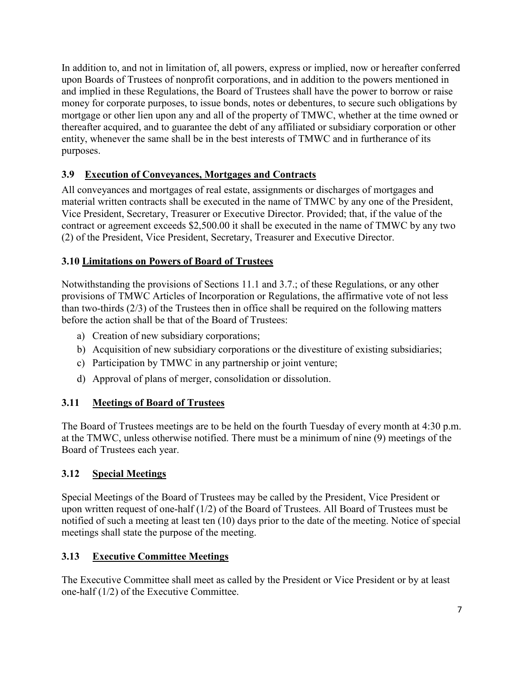In addition to, and not in limitation of, all powers, express or implied, now or hereafter conferred upon Boards of Trustees of nonprofit corporations, and in addition to the powers mentioned in and implied in these Regulations, the Board of Trustees shall have the power to borrow or raise money for corporate purposes, to issue bonds, notes or debentures, to secure such obligations by mortgage or other lien upon any and all of the property of TMWC, whether at the time owned or thereafter acquired, and to guarantee the debt of any affiliated or subsidiary corporation or other entity, whenever the same shall be in the best interests of TMWC and in furtherance of its purposes.

# **3.9 Execution of Conveyances, Mortgages and Contracts**

All conveyances and mortgages of real estate, assignments or discharges of mortgages and material written contracts shall be executed in the name of TMWC by any one of the President, Vice President, Secretary, Treasurer or Executive Director. Provided; that, if the value of the contract or agreement exceeds \$2,500.00 it shall be executed in the name of TMWC by any two (2) of the President, Vice President, Secretary, Treasurer and Executive Director.

## **3.10 Limitations on Powers of Board of Trustees**

Notwithstanding the provisions of Sections 11.1 and 3.7.; of these Regulations, or any other provisions of TMWC Articles of Incorporation or Regulations, the affirmative vote of not less than two-thirds (2/3) of the Trustees then in office shall be required on the following matters before the action shall be that of the Board of Trustees:

- a) Creation of new subsidiary corporations;
- b) Acquisition of new subsidiary corporations or the divestiture of existing subsidiaries;
- c) Participation by TMWC in any partnership or joint venture;
- d) Approval of plans of merger, consolidation or dissolution.

### **3.11 Meetings of Board of Trustees**

The Board of Trustees meetings are to be held on the fourth Tuesday of every month at 4:30 p.m. at the TMWC, unless otherwise notified. There must be a minimum of nine (9) meetings of the Board of Trustees each year.

### **3.12 Special Meetings**

Special Meetings of the Board of Trustees may be called by the President, Vice President or upon written request of one-half (1/2) of the Board of Trustees. All Board of Trustees must be notified of such a meeting at least ten (10) days prior to the date of the meeting. Notice of special meetings shall state the purpose of the meeting.

### **3.13 Executive Committee Meetings**

The Executive Committee shall meet as called by the President or Vice President or by at least one-half (1/2) of the Executive Committee.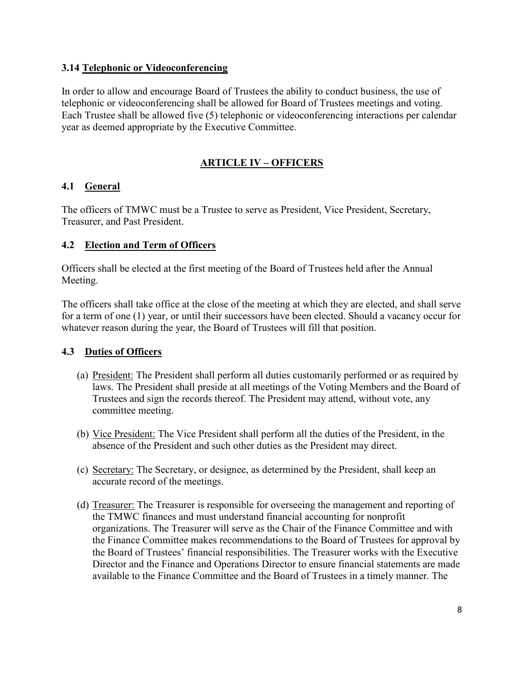### **3.14 Telephonic or Videoconferencing**

In order to allow and encourage Board of Trustees the ability to conduct business, the use of telephonic or videoconferencing shall be allowed for Board of Trustees meetings and voting. Each Trustee shall be allowed five (5) telephonic or videoconferencing interactions per calendar year as deemed appropriate by the Executive Committee.

## **ARTICLE IV – OFFICERS**

### **4.1 General**

The officers of TMWC must be a Trustee to serve as President, Vice President, Secretary, Treasurer, and Past President.

### **4.2 Election and Term of Officers**

Officers shall be elected at the first meeting of the Board of Trustees held after the Annual Meeting.

The officers shall take office at the close of the meeting at which they are elected, and shall serve for a term of one (1) year, or until their successors have been elected. Should a vacancy occur for whatever reason during the year, the Board of Trustees will fill that position.

### **4.3 Duties of Officers**

- (a) President: The President shall perform all duties customarily performed or as required by laws. The President shall preside at all meetings of the Voting Members and the Board of Trustees and sign the records thereof. The President may attend, without vote, any committee meeting.
- (b) Vice President: The Vice President shall perform all the duties of the President, in the absence of the President and such other duties as the President may direct.
- (c) Secretary: The Secretary, or designee, as determined by the President, shall keep an accurate record of the meetings.
- (d) Treasurer: The Treasurer is responsible for overseeing the management and reporting of the TMWC finances and must understand financial accounting for nonprofit organizations. The Treasurer will serve as the Chair of the Finance Committee and with the Finance Committee makes recommendations to the Board of Trustees for approval by the Board of Trustees' financial responsibilities. The Treasurer works with the Executive Director and the Finance and Operations Director to ensure financial statements are made available to the Finance Committee and the Board of Trustees in a timely manner. The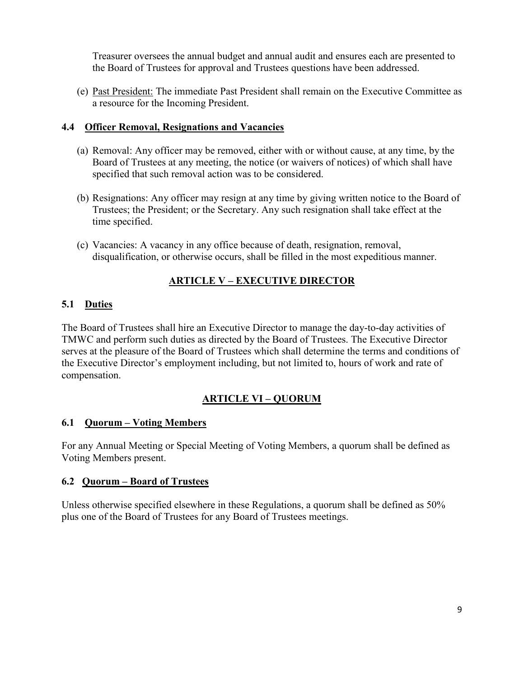Treasurer oversees the annual budget and annual audit and ensures each are presented to the Board of Trustees for approval and Trustees questions have been addressed.

(e) Past President: The immediate Past President shall remain on the Executive Committee as a resource for the Incoming President.

### **4.4 Officer Removal, Resignations and Vacancies**

- (a) Removal: Any officer may be removed, either with or without cause, at any time, by the Board of Trustees at any meeting, the notice (or waivers of notices) of which shall have specified that such removal action was to be considered.
- (b) Resignations: Any officer may resign at any time by giving written notice to the Board of Trustees; the President; or the Secretary. Any such resignation shall take effect at the time specified.
- (c) Vacancies: A vacancy in any office because of death, resignation, removal, disqualification, or otherwise occurs, shall be filled in the most expeditious manner.

# **ARTICLE V – EXECUTIVE DIRECTOR**

## **5.1 Duties**

The Board of Trustees shall hire an Executive Director to manage the day-to-day activities of TMWC and perform such duties as directed by the Board of Trustees. The Executive Director serves at the pleasure of the Board of Trustees which shall determine the terms and conditions of the Executive Director's employment including, but not limited to, hours of work and rate of compensation.

# **ARTICLE VI – QUORUM**

### **6.1 Quorum – Voting Members**

For any Annual Meeting or Special Meeting of Voting Members, a quorum shall be defined as Voting Members present.

### **6.2 Quorum – Board of Trustees**

Unless otherwise specified elsewhere in these Regulations, a quorum shall be defined as 50% plus one of the Board of Trustees for any Board of Trustees meetings.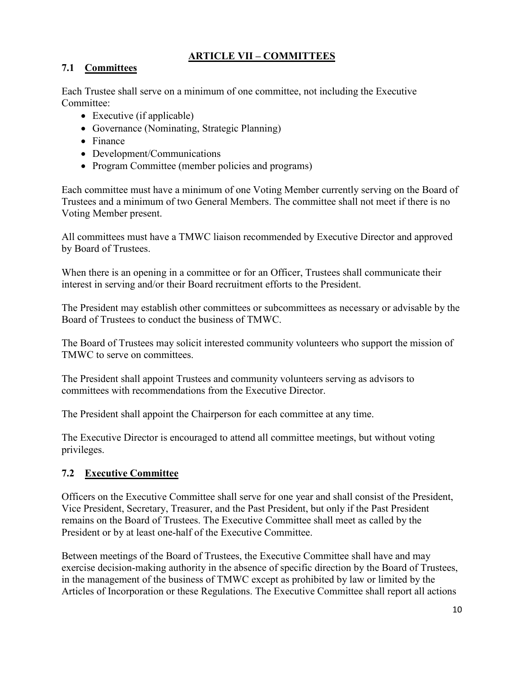# **ARTICLE VII – COMMITTEES**

### **7.1 Committees**

Each Trustee shall serve on a minimum of one committee, not including the Executive Committee:

- Executive (if applicable)
- Governance (Nominating, Strategic Planning)
- Finance
- Development/Communications
- Program Committee (member policies and programs)

Each committee must have a minimum of one Voting Member currently serving on the Board of Trustees and a minimum of two General Members. The committee shall not meet if there is no Voting Member present.

All committees must have a TMWC liaison recommended by Executive Director and approved by Board of Trustees.

When there is an opening in a committee or for an Officer, Trustees shall communicate their interest in serving and/or their Board recruitment efforts to the President.

The President may establish other committees or subcommittees as necessary or advisable by the Board of Trustees to conduct the business of TMWC.

The Board of Trustees may solicit interested community volunteers who support the mission of TMWC to serve on committees.

The President shall appoint Trustees and community volunteers serving as advisors to committees with recommendations from the Executive Director.

The President shall appoint the Chairperson for each committee at any time.

The Executive Director is encouraged to attend all committee meetings, but without voting privileges.

## **7.2 Executive Committee**

Officers on the Executive Committee shall serve for one year and shall consist of the President, Vice President, Secretary, Treasurer, and the Past President, but only if the Past President remains on the Board of Trustees. The Executive Committee shall meet as called by the President or by at least one-half of the Executive Committee.

Between meetings of the Board of Trustees, the Executive Committee shall have and may exercise decision-making authority in the absence of specific direction by the Board of Trustees, in the management of the business of TMWC except as prohibited by law or limited by the Articles of Incorporation or these Regulations. The Executive Committee shall report all actions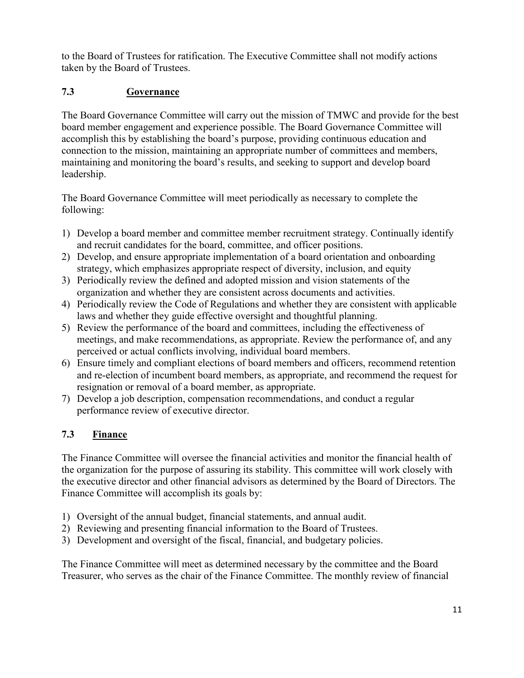to the Board of Trustees for ratification. The Executive Committee shall not modify actions taken by the Board of Trustees.

# **7.3 Governance**

The Board Governance Committee will carry out the mission of TMWC and provide for the best board member engagement and experience possible. The Board Governance Committee will accomplish this by establishing the board's purpose, providing continuous education and connection to the mission, maintaining an appropriate number of committees and members, maintaining and monitoring the board's results, and seeking to support and develop board leadership.

The Board Governance Committee will meet periodically as necessary to complete the following:

- 1) Develop a board member and committee member recruitment strategy. Continually identify and recruit candidates for the board, committee, and officer positions.
- 2) Develop, and ensure appropriate implementation of a board orientation and onboarding strategy, which emphasizes appropriate respect of diversity, inclusion, and equity
- 3) Periodically review the defined and adopted mission and vision statements of the organization and whether they are consistent across documents and activities.
- 4) Periodically review the Code of Regulations and whether they are consistent with applicable laws and whether they guide effective oversight and thoughtful planning.
- 5) Review the performance of the board and committees, including the effectiveness of meetings, and make recommendations, as appropriate. Review the performance of, and any perceived or actual conflicts involving, individual board members.
- 6) Ensure timely and compliant elections of board members and officers, recommend retention and re-election of incumbent board members, as appropriate, and recommend the request for resignation or removal of a board member, as appropriate.
- 7) Develop a job description, compensation recommendations, and conduct a regular performance review of executive director.

## **7.3 Finance**

The Finance Committee will oversee the financial activities and monitor the financial health of the organization for the purpose of assuring its stability. This committee will work closely with the executive director and other financial advisors as determined by the Board of Directors. The Finance Committee will accomplish its goals by:

- 1) Oversight of the annual budget, financial statements, and annual audit.
- 2) Reviewing and presenting financial information to the Board of Trustees.
- 3) Development and oversight of the fiscal, financial, and budgetary policies.

The Finance Committee will meet as determined necessary by the committee and the Board Treasurer, who serves as the chair of the Finance Committee. The monthly review of financial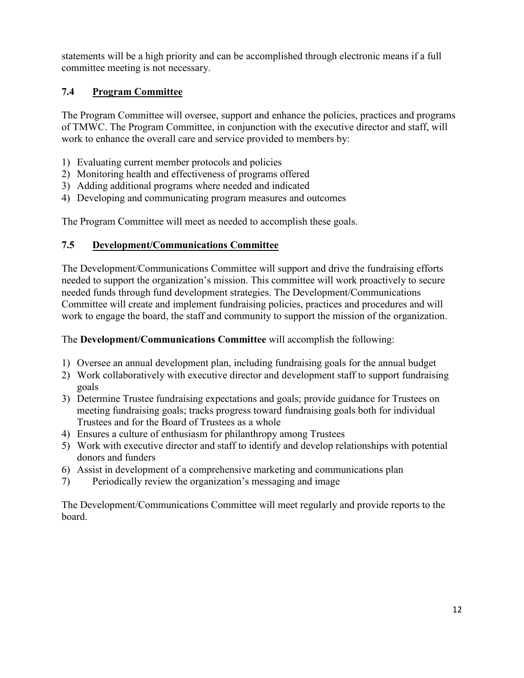statements will be a high priority and can be accomplished through electronic means if a full committee meeting is not necessary.

## **7.4 Program Committee**

The Program Committee will oversee, support and enhance the policies, practices and programs of TMWC. The Program Committee, in conjunction with the executive director and staff, will work to enhance the overall care and service provided to members by:

- 1) Evaluating current member protocols and policies
- 2) Monitoring health and effectiveness of programs offered
- 3) Adding additional programs where needed and indicated
- 4) Developing and communicating program measures and outcomes

The Program Committee will meet as needed to accomplish these goals.

#### **7.5 Development/Communications Committee**

The Development/Communications Committee will support and drive the fundraising efforts needed to support the organization's mission. This committee will work proactively to secure needed funds through fund development strategies. The Development/Communications Committee will create and implement fundraising policies, practices and procedures and will work to engage the board, the staff and community to support the mission of the organization.

#### The **Development/Communications Committee** will accomplish the following:

- 1) Oversee an annual development plan, including fundraising goals for the annual budget
- 2) Work collaboratively with executive director and development staff to support fundraising goals
- 3) Determine Trustee fundraising expectations and goals; provide guidance for Trustees on meeting fundraising goals; tracks progress toward fundraising goals both for individual Trustees and for the Board of Trustees as a whole
- 4) Ensures a culture of enthusiasm for philanthropy among Trustees
- 5) Work with executive director and staff to identify and develop relationships with potential donors and funders
- 6) Assist in development of a comprehensive marketing and communications plan
- 7) Periodically review the organization's messaging and image

The Development/Communications Committee will meet regularly and provide reports to the board.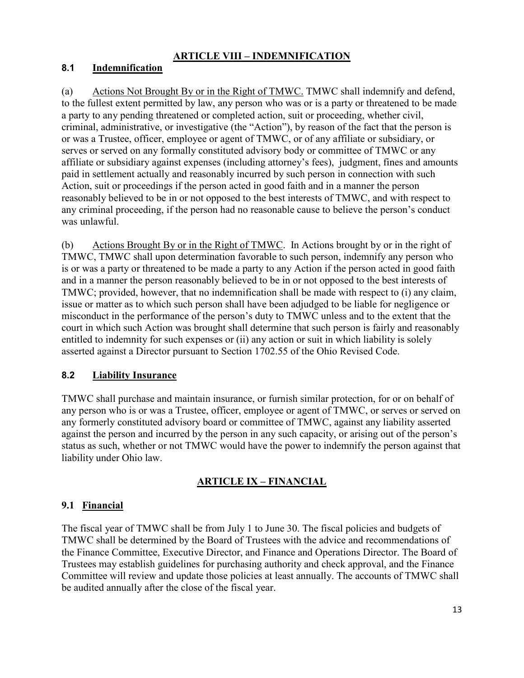# **ARTICLE VIII – INDEMNIFICATION**

## **8.1 Indemnification**

(a) Actions Not Brought By or in the Right of TMWC. TMWC shall indemnify and defend, to the fullest extent permitted by law, any person who was or is a party or threatened to be made a party to any pending threatened or completed action, suit or proceeding, whether civil, criminal, administrative, or investigative (the "Action"), by reason of the fact that the person is or was a Trustee, officer, employee or agent of TMWC, or of any affiliate or subsidiary, or serves or served on any formally constituted advisory body or committee of TMWC or any affiliate or subsidiary against expenses (including attorney's fees), judgment, fines and amounts paid in settlement actually and reasonably incurred by such person in connection with such Action, suit or proceedings if the person acted in good faith and in a manner the person reasonably believed to be in or not opposed to the best interests of TMWC, and with respect to any criminal proceeding, if the person had no reasonable cause to believe the person's conduct was unlawful.

(b) Actions Brought By or in the Right of TMWC. In Actions brought by or in the right of TMWC, TMWC shall upon determination favorable to such person, indemnify any person who is or was a party or threatened to be made a party to any Action if the person acted in good faith and in a manner the person reasonably believed to be in or not opposed to the best interests of TMWC; provided, however, that no indemnification shall be made with respect to (i) any claim, issue or matter as to which such person shall have been adjudged to be liable for negligence or misconduct in the performance of the person's duty to TMWC unless and to the extent that the court in which such Action was brought shall determine that such person is fairly and reasonably entitled to indemnity for such expenses or (ii) any action or suit in which liability is solely asserted against a Director pursuant to Section 1702.55 of the Ohio Revised Code.

### **8.2 Liability Insurance**

TMWC shall purchase and maintain insurance, or furnish similar protection, for or on behalf of any person who is or was a Trustee, officer, employee or agent of TMWC, or serves or served on any formerly constituted advisory board or committee of TMWC, against any liability asserted against the person and incurred by the person in any such capacity, or arising out of the person's status as such, whether or not TMWC would have the power to indemnify the person against that liability under Ohio law.

# **ARTICLE IX – FINANCIAL**

## **9.1 Financial**

The fiscal year of TMWC shall be from July 1 to June 30. The fiscal policies and budgets of TMWC shall be determined by the Board of Trustees with the advice and recommendations of the Finance Committee, Executive Director, and Finance and Operations Director. The Board of Trustees may establish guidelines for purchasing authority and check approval, and the Finance Committee will review and update those policies at least annually. The accounts of TMWC shall be audited annually after the close of the fiscal year.